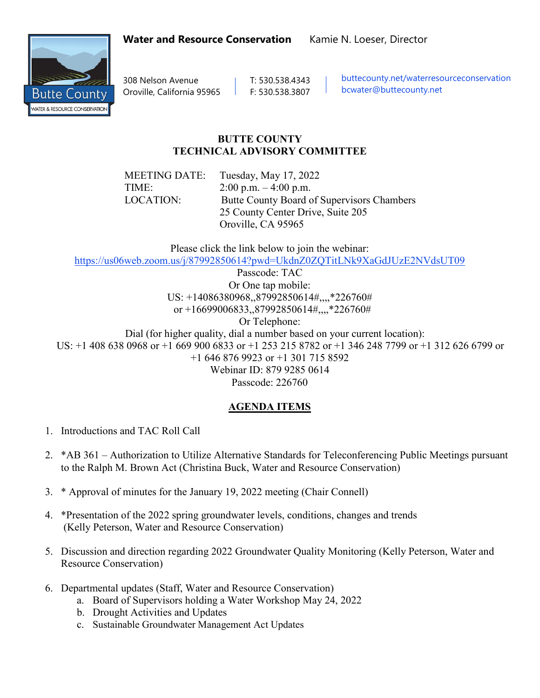Butte Countv **WATER & RESOURCE CONSERVATION** 

Oroville, California 95965 F: 530.538.3807

308 Nelson Avenue T: 530.538.4343 | buttecounty.net/waterresourceconservation bcwater@buttecounty.net

## **BUTTE COUNTY TECHNICAL ADVISORY COMMITTEE**

MEETING DATE: Tuesday, May 17, 2022 TIME:  $2:00 \text{ p.m.} - 4:00 \text{ p.m.}$ LOCATION: Butte County Board of Supervisors Chambers 25 County Center Drive, Suite 205 Oroville, CA 95965

Please click the link below to join the webinar:

<https://us06web.zoom.us/j/87992850614?pwd=UkdnZ0ZQTitLNk9XaGdJUzE2NVdsUT09>

Passcode: TAC Or One tap mobile: US: +14086380968,,87992850614#,,,,\*226760# or +16699006833,,87992850614#,,,,\*226760#

Or Telephone:

 Dial (for higher quality, dial a number based on your current location): US: +1 408 638 0968 or +1 669 900 6833 or +1 253 215 8782 or +1 346 248 7799 or +1 312 626 6799 or +1 646 876 9923 or +1 301 715 8592 Webinar ID: 879 9285 0614

Passcode: 226760

## **AGENDA ITEMS**

- 1. Introductions and TAC Roll Call
- 2. \*AB 361 Authorization to Utilize Alternative Standards for Teleconferencing Public Meetings pursuant to the Ralph M. Brown Act (Christina Buck, Water and Resource Conservation)
- 3. \* Approval of minutes for the January 19, 2022 meeting (Chair Connell)
- 4. \*Presentation of the 2022 spring groundwater levels, conditions, changes and trends (Kelly Peterson, Water and Resource Conservation)
- 5. Discussion and direction regarding 2022 Groundwater Quality Monitoring (Kelly Peterson, Water and Resource Conservation)
- 6. Departmental updates (Staff, Water and Resource Conservation)
	- a. Board of Supervisors holding a Water Workshop May 24, 2022
	- b. Drought Activities and Updates
	- c. Sustainable Groundwater Management Act Updates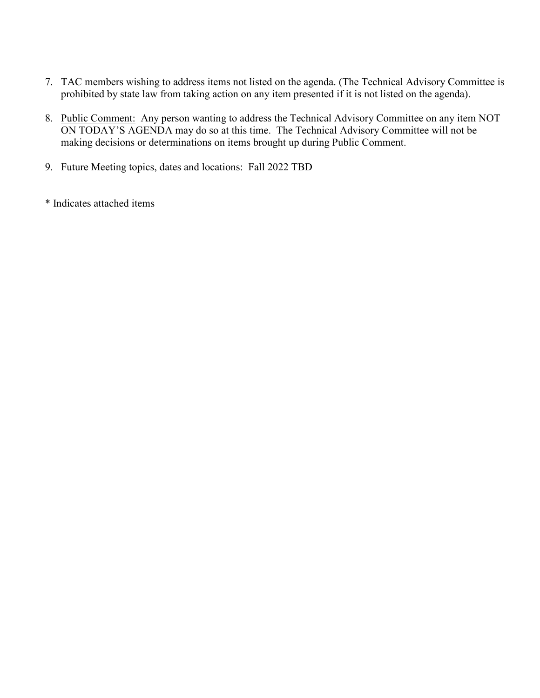- 7. TAC members wishing to address items not listed on the agenda. (The Technical Advisory Committee is prohibited by state law from taking action on any item presented if it is not listed on the agenda).
- 8. Public Comment: Any person wanting to address the Technical Advisory Committee on any item NOT ON TODAY'S AGENDA may do so at this time. The Technical Advisory Committee will not be making decisions or determinations on items brought up during Public Comment.
- 9. Future Meeting topics, dates and locations: Fall 2022 TBD
- \* Indicates attached items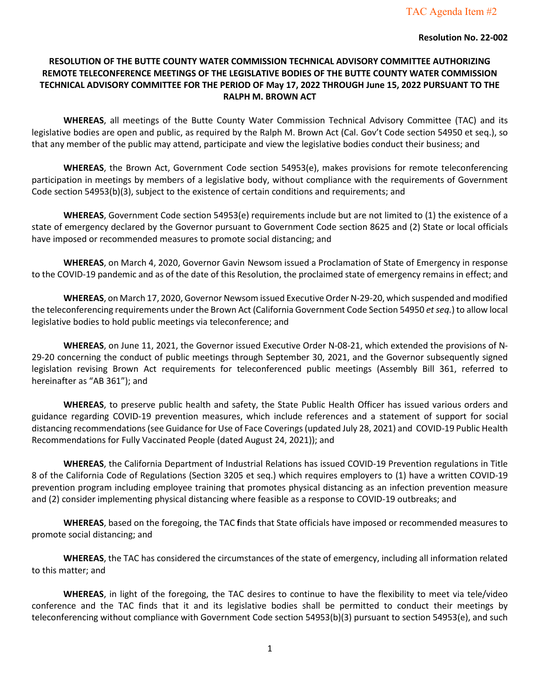#### **Resolution No. 22-002**

#### **RESOLUTION OF THE BUTTE COUNTY WATER COMMISSION TECHNICAL ADVISORY COMMITTEE AUTHORIZING REMOTE TELECONFERENCE MEETINGS OF THE LEGISLATIVE BODIES OF THE BUTTE COUNTY WATER COMMISSION TECHNICAL ADVISORY COMMITTEE FOR THE PERIOD OF May 17, 2022 THROUGH June 15, 2022 PURSUANT TO THE RALPH M. BROWN ACT**

**WHEREAS**, all meetings of the Butte County Water Commission Technical Advisory Committee (TAC) and its legislative bodies are open and public, as required by the Ralph M. Brown Act (Cal. Gov't Code section 54950 et seq.), so that any member of the public may attend, participate and view the legislative bodies conduct their business; and

**WHEREAS**, the Brown Act, Government Code section 54953(e), makes provisions for remote teleconferencing participation in meetings by members of a legislative body, without compliance with the requirements of Government Code section 54953(b)(3), subject to the existence of certain conditions and requirements; and

**WHEREAS**, Government Code section 54953(e) requirements include but are not limited to (1) the existence of a state of emergency declared by the Governor pursuant to Government Code section 8625 and (2) State or local officials have imposed or recommended measures to promote social distancing; and

**WHEREAS**, on March 4, 2020, Governor Gavin Newsom issued a Proclamation of State of Emergency in response to the COVID-19 pandemic and as of the date of this Resolution, the proclaimed state of emergency remains in effect; and

**WHEREAS**, on March 17, 2020, Governor Newsom issued Executive Order N-29-20, which suspended and modified the teleconferencing requirements under the Brown Act (California Government Code Section 54950 *et seq.*) to allow local legislative bodies to hold public meetings via teleconference; and

**WHEREAS**, on June 11, 2021, the Governor issued Executive Order N-08-21, which extended the provisions of N-29-20 concerning the conduct of public meetings through September 30, 2021, and the Governor subsequently signed legislation revising Brown Act requirements for teleconferenced public meetings (Assembly Bill 361, referred to hereinafter as "AB 361"); and

**WHEREAS**, to preserve public health and safety, the State Public Health Officer has issued various orders and guidance regarding COVID-19 prevention measures, which include references and a statement of support for social distancing recommendations (see Guidance for Use of Face Coverings (updated July 28, 2021) and COVID-19 Public Health Recommendations for Fully Vaccinated People (dated August 24, 2021)); and

**WHEREAS**, the California Department of Industrial Relations has issued COVID-19 Prevention regulations in Title 8 of the California Code of Regulations (Section 3205 et seq.) which requires employers to (1) have a written COVID-19 prevention program including employee training that promotes physical distancing as an infection prevention measure and (2) consider implementing physical distancing where feasible as a response to COVID-19 outbreaks; and

**WHEREAS**, based on the foregoing, the TAC **f**inds that State officials have imposed or recommended measures to promote social distancing; and

**WHEREAS**, the TAC has considered the circumstances of the state of emergency, including all information related to this matter; and

**WHEREAS**, in light of the foregoing, the TAC desires to continue to have the flexibility to meet via tele/video conference and the TAC finds that it and its legislative bodies shall be permitted to conduct their meetings by teleconferencing without compliance with Government Code section 54953(b)(3) pursuant to section 54953(e), and such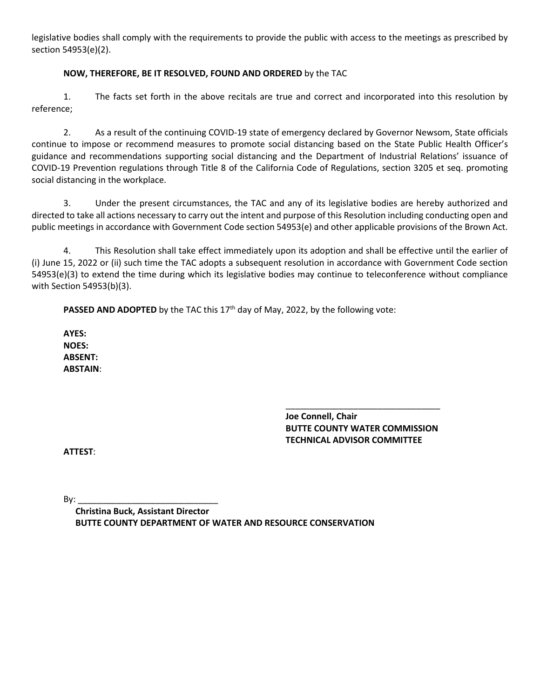legislative bodies shall comply with the requirements to provide the public with access to the meetings as prescribed by section 54953(e)(2).

#### **NOW, THEREFORE, BE IT RESOLVED, FOUND AND ORDERED** by the TAC

1. The facts set forth in the above recitals are true and correct and incorporated into this resolution by reference;

2. As a result of the continuing COVID-19 state of emergency declared by Governor Newsom, State officials continue to impose or recommend measures to promote social distancing based on the State Public Health Officer's guidance and recommendations supporting social distancing and the Department of Industrial Relations' issuance of COVID-19 Prevention regulations through Title 8 of the California Code of Regulations, section 3205 et seq. promoting social distancing in the workplace.

3. Under the present circumstances, the TAC and any of its legislative bodies are hereby authorized and directed to take all actions necessary to carry out the intent and purpose of this Resolution including conducting open and public meetings in accordance with Government Code section 54953(e) and other applicable provisions of the Brown Act.

4. This Resolution shall take effect immediately upon its adoption and shall be effective until the earlier of (i) June 15, 2022 or (ii) such time the TAC adopts a subsequent resolution in accordance with Government Code section 54953(e)(3) to extend the time during which its legislative bodies may continue to teleconference without compliance with Section 54953(b)(3).

**PASSED AND ADOPTED** by the TAC this 17<sup>th</sup> day of May, 2022, by the following vote:

**AYES: NOES: ABSENT: ABSTAIN**:

> \_\_\_\_\_\_\_\_\_\_\_\_\_\_\_\_\_\_\_\_\_\_\_\_\_\_\_\_\_\_\_\_ **Joe Connell, Chair BUTTE COUNTY WATER COMMISSION TECHNICAL ADVISOR COMMITTEE**

**ATTEST**:

By: \_\_\_\_\_\_\_\_\_\_\_\_\_\_\_\_\_\_\_\_\_\_\_\_\_\_\_\_\_

**Christina Buck, Assistant Director BUTTE COUNTY DEPARTMENT OF WATER AND RESOURCE CONSERVATION**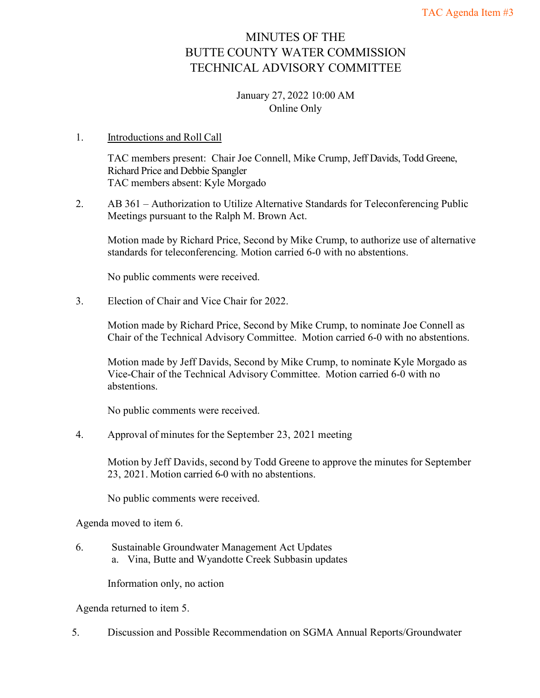# MINUTES OF THE BUTTE COUNTY WATER COMMISSION TECHNICAL ADVISORY COMMITTEE

#### January 27, 2022 10:00 AM Online Only

#### 1. Introductions and Roll Call

TAC members present: Chair Joe Connell, Mike Crump, Jeff Davids, Todd Greene, Richard Price and Debbie Spangler TAC members absent: Kyle Morgado

2. AB 361 – Authorization to Utilize Alternative Standards for Teleconferencing Public Meetings pursuant to the Ralph M. Brown Act.

Motion made by Richard Price, Second by Mike Crump, to authorize use of alternative standards for teleconferencing. Motion carried 6-0 with no abstentions.

No public comments were received.

3. Election of Chair and Vice Chair for 2022.

Motion made by Richard Price, Second by Mike Crump, to nominate Joe Connell as Chair of the Technical Advisory Committee. Motion carried 6-0 with no abstentions.

Motion made by Jeff Davids, Second by Mike Crump, to nominate Kyle Morgado as Vice-Chair of the Technical Advisory Committee. Motion carried 6-0 with no abstentions.

No public comments were received.

4. Approval of minutes for the September 23, 2021 meeting

Motion by Jeff Davids, second by Todd Greene to approve the minutes for September 23, 2021. Motion carried 6-0 with no abstentions.

No public comments were received.

Agenda moved to item 6.

6. Sustainable Groundwater Management Act Updates a. Vina, Butte and Wyandotte Creek Subbasin updates

Information only, no action

Agenda returned to item 5.

5. Discussion and Possible Recommendation on SGMA Annual Reports/Groundwater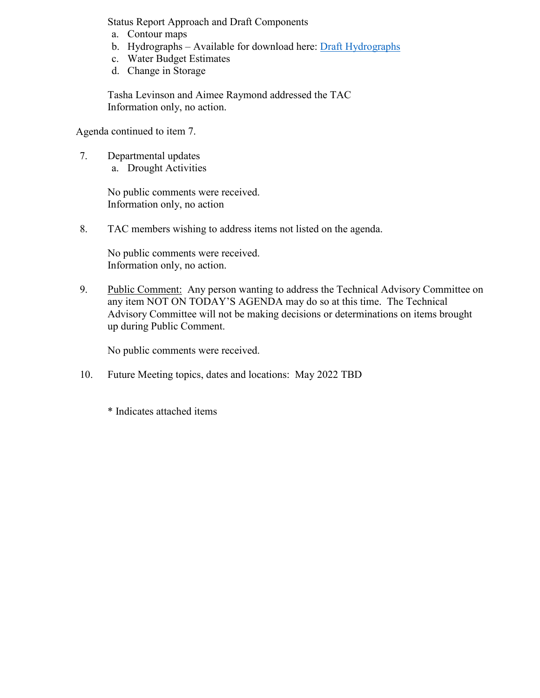Status Report Approach and Draft Components

- a. Contour maps
- b. Hydrographs Available for download here: [Draft Hydrographs](https://urldefense.com/v3/__https:/davidsengineering.sharepoint.com/:f:/s/DE_Projects/EifaY_heKDJKtt91W8rrff0B8ILlar_7OyLrXRL3nlbdqw?e=8wETRK__;!!KNMwiTCp4spf!XMMAdRV10hHg9HSWTTDZdpNTw5rU11oDHJUAbJBzypbmy7ih6WzrW_7Y8CIw0UygGc8$)
- c. Water Budget Estimates
- d. Change in Storage

Tasha Levinson and Aimee Raymond addressed the TAC Information only, no action.

Agenda continued to item 7.

7. Departmental updates a. Drought Activities

> No public comments were received. Information only, no action

8. TAC members wishing to address items not listed on the agenda.

No public comments were received. Information only, no action.

9. Public Comment: Any person wanting to address the Technical Advisory Committee on any item NOT ON TODAY'S AGENDA may do so at this time. The Technical Advisory Committee will not be making decisions or determinations on items brought up during Public Comment.

No public comments were received.

10. Future Meeting topics, dates and locations: May 2022 TBD

\* Indicates attached items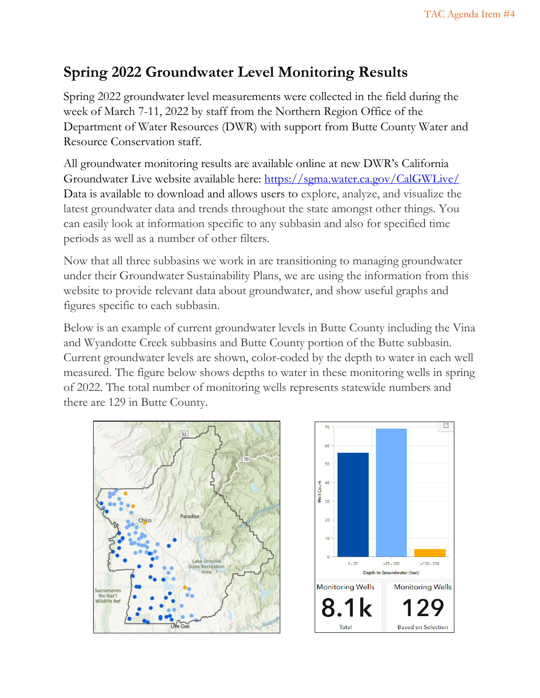# **Spring 2022 Groundwater Level Monitoring Results**

Spring 2022 groundwater level measurements were collected in the field during the week of March 7-11, 2022 by staff from the Northern Region Office of the Department of Water Resources (DWR) with support from Butte County Water and Resource Conservation staff.

All groundwater monitoring results are available online at new DWR's California Groundwater Live website available here: https://sgma.water.ca.gov/CalGWLive/ Data is available to download and allows users to explore, analyze, and visualize the latest groundwater data and trends throughout the state amongst other things. You can easily look at information specific to any subbasin and also for specified time periods as well as a number of other filters.

Now that all three subbasins we work in are transitioning to managing groundwater under their Groundwater Sustainability Plans, we are using the information from this website to provide relevant data about groundwater, and show useful graphs and figures specific to each subbasin.

Below is an example of current groundwater levels in Butte County including the Vina and Wyandotte Creek subbasins and Butte County portion of the Butte subbasin. Current groundwater levels are shown, color-coded by the depth to water in each well measured. The figure below shows depths to water in these monitoring wells in spring of 2022. The total number of monitoring wells represents statewide numbers and there are 129 in Butte County.



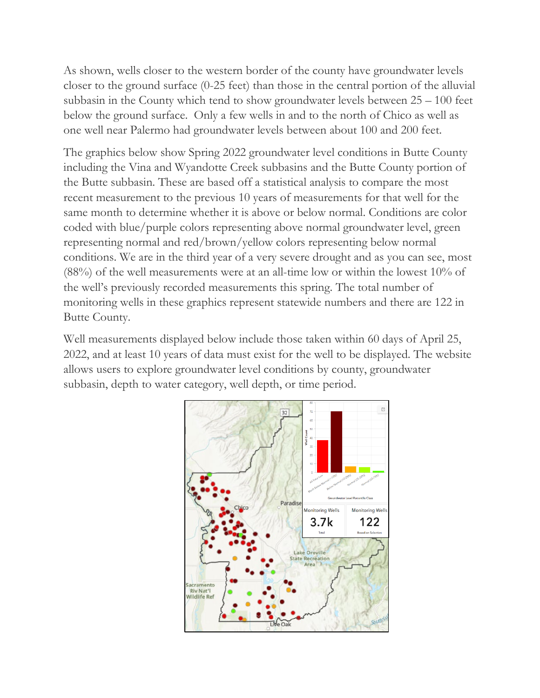As shown, wells closer to the western border of the county have groundwater levels closer to the ground surface (0-25 feet) than those in the central portion of the alluvial subbasin in the County which tend to show groundwater levels between 25 – 100 feet below the ground surface. Only a few wells in and to the north of Chico as well as one well near Palermo had groundwater levels between about 100 and 200 feet.

The graphics below show Spring 2022 groundwater level conditions in Butte County including the Vina and Wyandotte Creek subbasins and the Butte County portion of the Butte subbasin. These are based off a statistical analysis to compare the most recent measurement to the previous 10 years of measurements for that well for the same month to determine whether it is above or below normal. Conditions are color coded with blue/purple colors representing above normal groundwater level, green representing normal and red/brown/yellow colors representing below normal conditions. We are in the third year of a very severe drought and as you can see, most (88%) of the well measurements were at an all-time low or within the lowest 10% of the well's previously recorded measurements this spring. The total number of monitoring wells in these graphics represent statewide numbers and there are 122 in Butte County.

Well measurements displayed below include those taken within 60 days of April 25, 2022, and at least 10 years of data must exist for the well to be displayed. The website allows users to explore groundwater level conditions by county, groundwater subbasin, depth to water category, well depth, or time period.

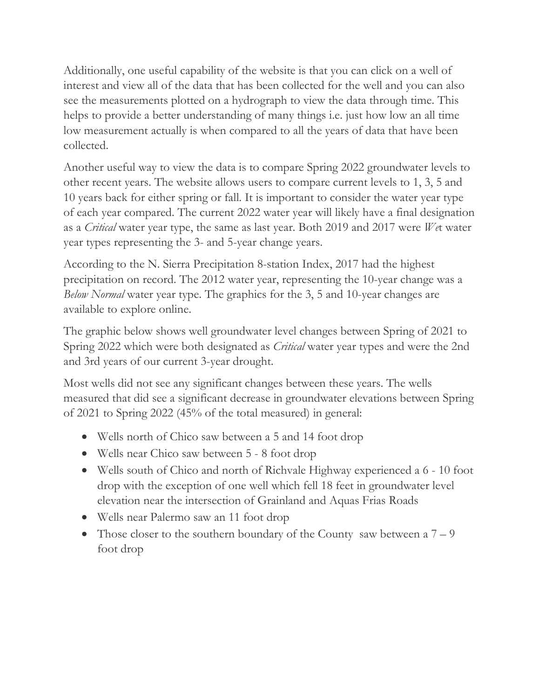Additionally, one useful capability of the website is that you can click on a well of interest and view all of the data that has been collected for the well and you can also see the measurements plotted on a hydrograph to view the data through time. This helps to provide a better understanding of many things i.e. just how low an all time low measurement actually is when compared to all the years of data that have been collected.

Another useful way to view the data is to compare Spring 2022 groundwater levels to other recent years. The website allows users to compare current levels to 1, 3, 5 and 10 years back for either spring or fall. It is important to consider the water year type of each year compared. The current 2022 water year will likely have a final designation as a *Critical* water year type, the same as last year. Both 2019 and 2017 were *We*t water year types representing the 3- and 5-year change years.

According to the N. Sierra Precipitation 8-station Index, 2017 had the highest precipitation on record. The 2012 water year, representing the 10-year change was a *Below Normal* water year type. The graphics for the 3, 5 and 10-year changes are available to explore online.

The graphic below shows well groundwater level changes between Spring of 2021 to Spring 2022 which were both designated as *Critical* water year types and were the 2nd and 3rd years of our current 3-year drought.

Most wells did not see any significant changes between these years. The wells measured that did see a significant decrease in groundwater elevations between Spring of 2021 to Spring 2022 (45% of the total measured) in general:

- Wells north of Chico saw between a 5 and 14 foot drop
- Wells near Chico saw between 5 8 foot drop
- Wells south of Chico and north of Richvale Highway experienced a 6 10 foot drop with the exception of one well which fell 18 feet in groundwater level elevation near the intersection of Grainland and Aquas Frias Roads
- Wells near Palermo saw an 11 foot drop
- Those closer to the southern boundary of the County saw between a  $7-9$ foot drop